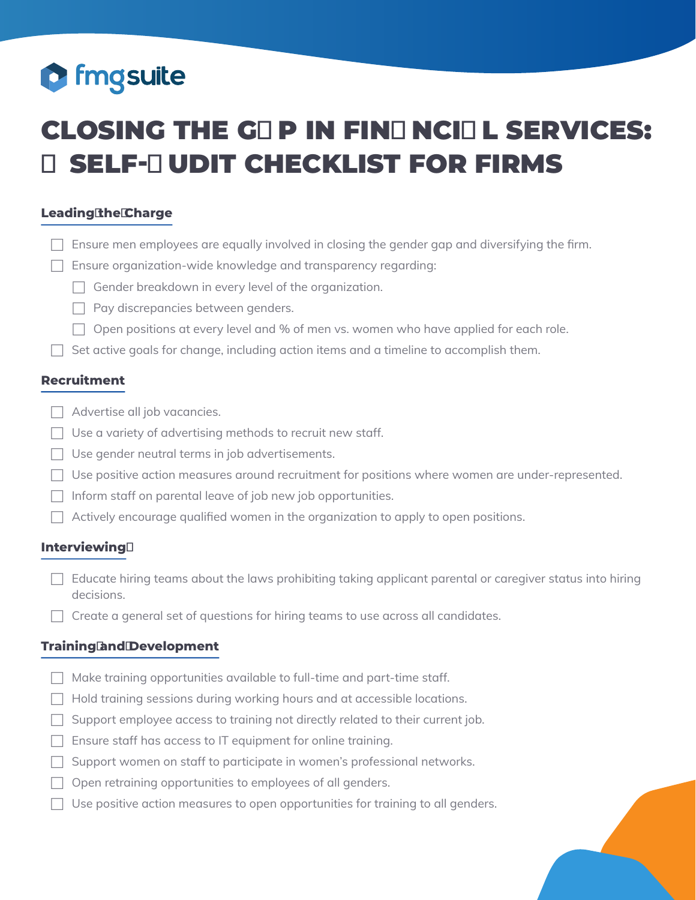

# **CLOSING THE G P IN FIN NCI L SERVICES: SELF- UDIT CHECKLIST FOR FIRMS**

## **Leading the Charge**

- $\Box$  Ensure men employees are equally involved in closing the gender gap and diversifying the firm.
- $\Box$  Ensure organization-wide knowledge and transparency regarding:
	- $\Box$  Gender breakdown in every level of the organization.
	- $\Box$  Pay discrepancies between genders.
	- $\Box$  Open positions at every level and % of men vs. women who have applied for each role.
- $\Box$  Set active goals for change, including action items and a timeline to accomplish them.

#### **Recruitment**

- $\Box$  Advertise all job vacancies.
- $\Box$  Use a variety of advertising methods to recruit new staff.
- $\Box$  Use gender neutral terms in job advertisements.
- □ Use positive action measures around recruitment for positions where women are under-represented.
- $\Box$  Inform staff on parental leave of job new job opportunities.
- $\Box$  Actively encourage qualified women in the organization to apply to open positions.

### **Interviewing**

- $\Box$  Educate hiring teams about the laws prohibiting taking applicant parental or caregiver status into hiring decisions.
- $\Box$  Create a general set of questions for hiring teams to use across all candidates.

## **Training and Development**

- $\Box$  Make training opportunities available to full-time and part-time staff.
- $\Box$  Hold training sessions during working hours and at accessible locations.
- $\Box$  Support employee access to training not directly related to their current job.
- $\Box$  Ensure staff has access to IT equipment for online training.
- □ Support women on staff to participate in women's professional networks.
- $\Box$  Open retraining opportunities to employees of all genders.
- $\Box$  Use positive action measures to open opportunities for training to all genders.